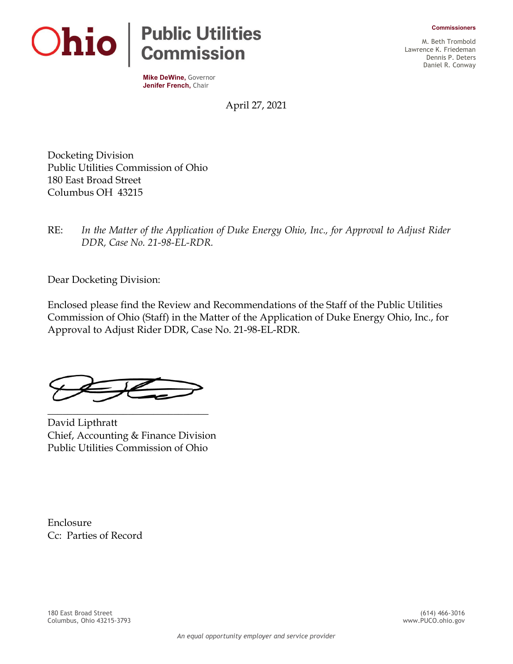



**Mike DeWine,** Governor **Jenifer French,** Chair

M. Beth Trombold Lawrence K. Friedeman Dennis P. Deters Daniel R. Conway

April 27, 2021

Docketing Division Public Utilities Commission of Ohio 180 East Broad Street Columbus OH 43215

RE: *In the Matter of the Application of Duke Energy Ohio, Inc., for Approval to Adjust Rider DDR, Case No. 21-98-EL-RDR.*

Dear Docketing Division:

Enclosed please find the Review and Recommendations of the Staff of the Public Utilities Commission of Ohio (Staff) in the Matter of the Application of Duke Energy Ohio, Inc., for Approval to Adjust Rider DDR, Case No. 21-98-EL-RDR.

\_\_\_\_\_\_\_\_\_\_\_\_\_\_\_\_\_\_\_\_\_\_\_\_\_\_\_\_\_\_\_\_

David Lipthratt Chief, Accounting & Finance Division Public Utilities Commission of Ohio

Enclosure Cc: Parties of Record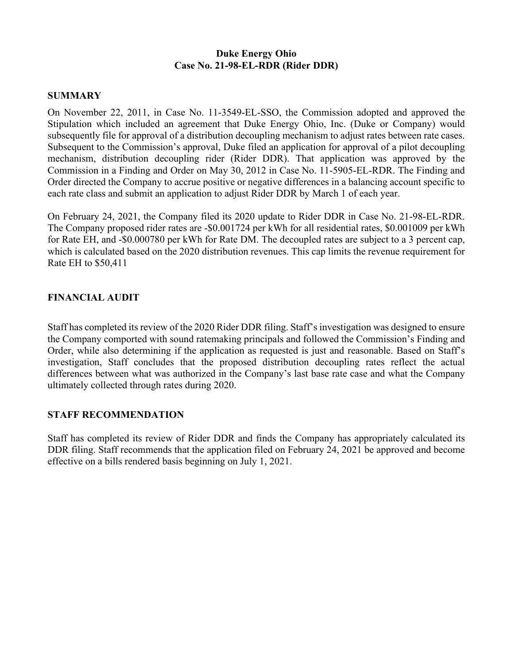## **Duke Energy Ohio Case No. 21-98-EL-RDR (Rider DDR)**

## **SUMMARY**

On November 22, 2011, in Case No. 11-3549-EL-SSO, the Commission adopted and approved the Stipulation which included an agreement that Duke Energy Ohio, Inc. (Duke or Company) would subsequently file for approval of a distribution decoupling mechanism to adjust rates between rate cases. Subsequent to the Commission's approval, Duke filed an application for approval of a pilot decoupling mechanism, distribution decoupling rider (Rider DDR). That application was approved by the Commission in a Finding and Order on May 30, 2012 in Case No. 11-5905-EL-RDR. The Finding and Order directed the Company to accrue positive or negative differences in a balancing account specific to each rate class and submit an application to adjust Rider DDR by March 1 of each year.

On February 24, 2021, the Company filed its 2020 update to Rider DDR in Case No. 21-98-EL-RDR. The Company proposed rider rates are -\$0.001724 per kWh for all residential rates, \$0.001009 per kWh for Rate EH, and -\$0.000780 per kWh for Rate DM. The decoupled rates are subject to a 3 percent cap, which is calculated based on the 2020 distribution revenues. This cap limits the revenue requirement for Rate EH to \$50,411

## **FINANCIAL AUDIT**

Staff has completed its review of the 2020 Rider DDR filing. Staff's investigation was designed to ensure the Company comported with sound ratemaking principals and followed the Commission's Finding and Order, while also determining if the application as requested is just and reasonable. Based on Staff's investigation, Staff concludes that the proposed distribution decoupling rates reflect the actual differences between what was authorized in the Company's last base rate case and what the Company ultimately collected through rates during 2020.

## **STAFF RECOMMENDATION**

Staff has completed its review of Rider DDR and finds the Company has appropriately calculated its DDR filing. Staff recommends that the application filed on February 24, 2021 be approved and become effective on a bills rendered basis beginning on July 1, 2021.